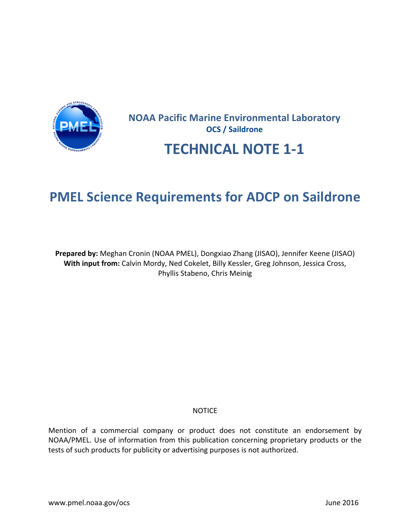

# **NOAA Pacific Marine Environmental Laboratory OCS** / Saildrone

# **TECHNICAL NOTE 1-1**

# **PMEL Science Requirements for ADCP on Saildrone**

**Prepared by:** Meghan Cronin (NOAA PMEL), Dongxiao Zhang (JISAO), Jennifer Keene (JISAO) With input from: Calvin Mordy, Ned Cokelet, Billy Kessler, Greg Johnson, Jessica Cross, Phyllis Stabeno, Chris Meinig

### NOTICE

Mention of a commercial company or product does not constitute an endorsement by NOAA/PMEL. Use of information from this publication concerning proprietary products or the tests of such products for publicity or advertising purposes is not authorized.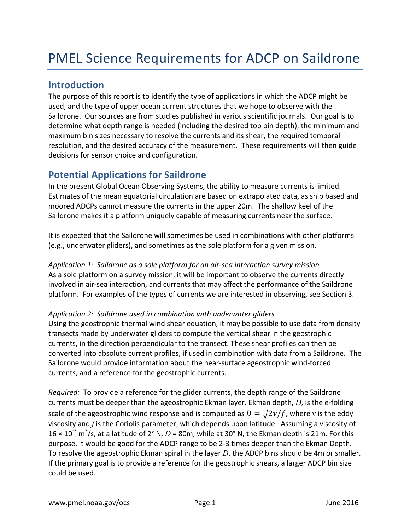### **Introduction**

The purpose of this report is to identify the type of applications in which the ADCP might be used, and the type of upper ocean current structures that we hope to observe with the Saildrone. Our sources are from studies published in various scientific journals. Our goal is to determine what depth range is needed (including the desired top bin depth), the minimum and maximum bin sizes necessary to resolve the currents and its shear, the required temporal resolution, and the desired accuracy of the measurement. These requirements will then guide decisions for sensor choice and configuration.

## **Potential Applications for Saildrone**

In the present Global Ocean Observing Systems, the ability to measure currents is limited. Estimates of the mean equatorial circulation are based on extrapolated data, as ship based and moored ADCPs cannot measure the currents in the upper 20m. The shallow keel of the Saildrone makes it a platform uniquely capable of measuring currents near the surface.

It is expected that the Saildrone will sometimes be used in combinations with other platforms (e.g., underwater gliders), and sometimes as the sole platform for a given mission.

*Application 1: Saildrone as a sole platform for an air-sea interaction survey mission* As a sole platform on a survey mission, it will be important to observe the currents directly involved in air-sea interaction, and currents that may affect the performance of the Saildrone platform. For examples of the types of currents we are interested in observing, see Section 3.

### Application 2: Saildrone used in combination with underwater gliders

Using the geostrophic thermal wind shear equation, it may be possible to use data from density transects made by underwater gliders to compute the vertical shear in the geostrophic currents, in the direction perpendicular to the transect. These shear profiles can then be converted into absolute current profiles, if used in combination with data from a Saildrone. The Saildrone would provide information about the near-surface ageostrophic wind-forced currents, and a reference for the geostrophic currents.

*Required:* To provide a reference for the glider currents, the depth range of the Saildrone currents must be deeper than the ageostrophic Ekman layer. Ekman depth, *D*, is the e-folding scale of the ageostrophic wind response and is computed as  $D = \sqrt{2\nu/f}$ , where v is the eddy viscosity and *f* is the Coriolis parameter, which depends upon latitude. Assuming a viscosity of  $16 \times 10^{-3}$  m<sup>2</sup>/s, at a latitude of 2° N, D = 80m, while at 30° N, the Ekman depth is 21m. For this purpose, it would be good for the ADCP range to be 2-3 times deeper than the Ekman Depth. To resolve the ageostrophic Ekman spiral in the layer  $D$ , the ADCP bins should be 4m or smaller. If the primary goal is to provide a reference for the geostrophic shears, a larger ADCP bin size could be used.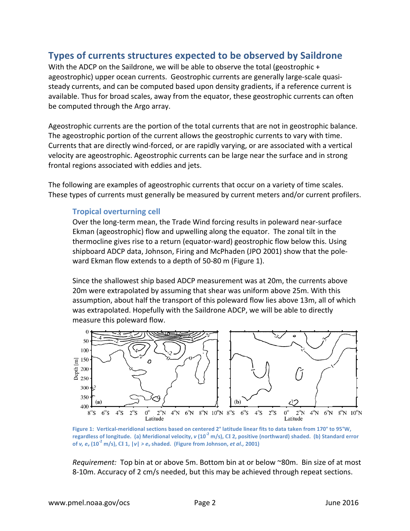### **Types of currents structures expected to be observed by Saildrone**

With the ADCP on the Saildrone, we will be able to observe the total (geostrophic + ageostrophic) upper ocean currents. Geostrophic currents are generally large-scale quasisteady currents, and can be computed based upon density gradients, if a reference current is available. Thus for broad scales, away from the equator, these geostrophic currents can often be computed through the Argo array.

Ageostrophic currents are the portion of the total currents that are not in geostrophic balance. The ageostrophic portion of the current allows the geostrophic currents to vary with time. Currents that are directly wind-forced, or are rapidly varying, or are associated with a vertical velocity are ageostrophic. Ageostrophic currents can be large near the surface and in strong frontal regions associated with eddies and jets.

The following are examples of ageostrophic currents that occur on a variety of time scales. These types of currents must generally be measured by current meters and/or current profilers.

#### **Tropical overturning cell**

Over the long-term mean, the Trade Wind forcing results in poleward near-surface Ekman (ageostrophic) flow and upwelling along the equator. The zonal tilt in the thermocline gives rise to a return (equator-ward) geostrophic flow below this. Using shipboard ADCP data, Johnson, Firing and McPhaden (JPO 2001) show that the poleward Ekman flow extends to a depth of 50-80 m (Figure 1).

Since the shallowest ship based ADCP measurement was at 20m, the currents above 20m were extrapolated by assuming that shear was uniform above 25m. With this assumption, about half the transport of this poleward flow lies above 13m, all of which was extrapolated. Hopefully with the Saildrone ADCP, we will be able to directly measure this poleward flow.



Figure 1: Vertical-meridional sections based on centered 2° latitude linear fits to data taken from 170° to 95°W, regardless of longitude. (a) Meridional velocity,  $v(10^{-2} \text{ m/s})$ , CI 2, positive (northward) shaded. (b) Standard error **of** v,  $e_v$  (10<sup> $\text{-}2$ </sup> m/s), CI<sub>1</sub>,  $|v| > e_v$  shaded. (Figure from Johnson, *et al.*, 2001)

*Requirement:* Top bin at or above 5m. Bottom bin at or below ~80m. Bin size of at most 8-10m. Accuracy of 2 cm/s needed, but this may be achieved through repeat sections.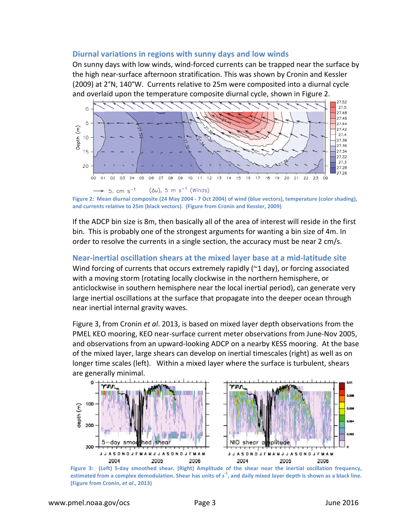### Diurnal variations in regions with sunny days and low winds

On sunny days with low winds, wind-forced currents can be trapped near the surface by the high near-surface afternoon stratification. This was shown by Cronin and Kessler  $(2009)$  at  $2°N$ , 140°W. Currents relative to 25m were composited into a diurnal cycle and overlaid upon the temperature composite diurnal cycle, shown in Figure 2.



Figure 2: Mean diurnal composite (24 May 2004 - 7 Oct 2004) of wind (blue vectors), temperature (color shading), and currents relative to 25m (black vectors). (Figure from Cronin and Kessler, 2009)

If the ADCP bin size is 8m, then basically all of the area of interest will reside in the first bin. This is probably one of the strongest arguments for wanting a bin size of 4m. In order to resolve the currents in a single section, the accuracy must be near 2 cm/s.

# **Near-inertial oscillation shears at the mixed layer base at a mid-latitude site**

Wind forcing of currents that occurs extremely rapidly  $(\sim 1 \text{ day})$ , or forcing associated with a moving storm (rotating locally clockwise in the northern hemisphere, or anticlockwise in southern hemisphere near the local inertial period), can generate very large inertial oscillations at the surface that propagate into the deeper ocean through near inertial internal gravity waves.

Figure 3, from Cronin et al. 2013, is based on mixed layer depth observations from the PMEL KEO mooring, KEO near-surface current meter observations from June-Nov 2005, and observations from an upward-looking ADCP on a nearby KESS mooring. At the base of the mixed layer, large shears can develop on inertial timescales (right) as well as on longer time scales (left). Within a mixed layer where the surface is turbulent, shears are generally minimal.



**Figure 3:** (Left) 5-day smoothed shear. (Right) Amplitude of the shear near the inertial oscillation frequency, estimated from a complex demodulation. Shear has units of  $s<sup>-1</sup>$ , and daily mixed layer depth is shown as a black line. **(Figure from Cronin,** *et al***., 2013)**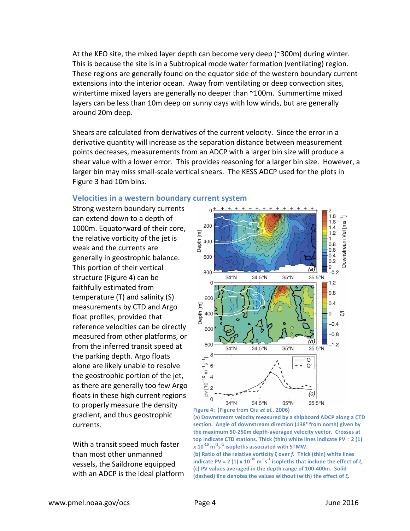At the KEO site, the mixed layer depth can become very deep ( $\degree$ 300m) during winter. This is because the site is in a Subtropical mode water formation (ventilating) region. These regions are generally found on the equator side of the western boundary current extensions into the interior ocean. Away from ventilating or deep convection sites, wintertime mixed layers are generally no deeper than  $\sim$ 100m. Summertime mixed layers can be less than 10m deep on sunny days with low winds, but are generally around 20m deep.

Shears are calculated from derivatives of the current velocity. Since the error in a derivative quantity will increase as the separation distance between measurement points decreases, measurements from an ADCP with a larger bin size will produce a shear value with a lower error. This provides reasoning for a larger bin size. However, a larger bin may miss small-scale vertical shears. The KESS ADCP used for the plots in Figure 3 had 10m bins.

#### **Velocities in a western boundary current system**

Strong western boundary currents can extend down to a depth of 1000m. Equatorward of their core, the relative vorticity of the jet is weak and the currents are generally in geostrophic balance. This portion of their vertical structure (Figure 4) can be faithfully estimated from temperature  $(T)$  and salinity  $(S)$ measurements by CTD and Argo float profiles, provided that reference velocities can be directly measured from other platforms, or from the inferred transit speed at the parking depth. Argo floats alone are likely unable to resolve the geostrophic portion of the jet, as there are generally too few Argo floats in these high current regions to properly measure the density gradient, and thus geostrophic currents. 

With a transit speed much faster than most other unmanned vessels, the Saildrone equipped with an ADCP is the ideal platform





**x**  $10^{-10}$   $\text{m}^{\text{-}1}\text{s}^{\text{-}1}$  isopleths associated with STMW. **(b)** Ratio of the relative vorticity ζ over *f.* Thick (thin) white lines **indicate PV** = 2 (1)  $\times$  10<sup>-10</sup>  $\text{m}$ <sup>-1</sup>s<sup>-1</sup> isopleths that include the effect of  $\zeta$ . (c) PV values averaged in the depth range of 100-400m. Solid (dashed) line denotes the values without (with) the effect of ζ.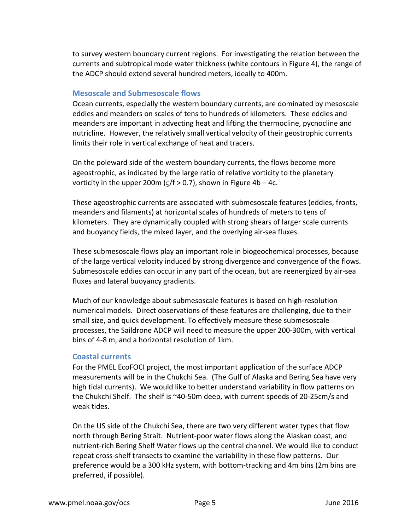to survey western boundary current regions. For investigating the relation between the currents and subtropical mode water thickness (white contours in Figure 4), the range of the ADCP should extend several hundred meters, ideally to 400m.

### **Mesoscale and Submesoscale flows**

Ocean currents, especially the western boundary currents, are dominated by mesoscale eddies and meanders on scales of tens to hundreds of kilometers. These eddies and meanders are important in advecting heat and lifting the thermocline, pycnocline and nutricline. However, the relatively small vertical velocity of their geostrophic currents limits their role in vertical exchange of heat and tracers.

On the poleward side of the western boundary currents, the flows become more ageostrophic, as indicated by the large ratio of relative vorticity to the planetary vorticity in the upper 200m ( $\zeta$ /f > 0.7), shown in Figure 4b – 4c.

These ageostrophic currents are associated with submesoscale features (eddies, fronts, meanders and filaments) at horizontal scales of hundreds of meters to tens of kilometers. They are dynamically coupled with strong shears of larger scale currents and buoyancy fields, the mixed layer, and the overlying air-sea fluxes.

These submesoscale flows play an important role in biogeochemical processes, because of the large vertical velocity induced by strong divergence and convergence of the flows. Submesoscale eddies can occur in any part of the ocean, but are reenergized by air-sea fluxes and lateral buoyancy gradients.

Much of our knowledge about submesoscale features is based on high-resolution numerical models. Direct observations of these features are challenging, due to their small size, and quick development. To effectively measure these submesoscale processes, the Saildrone ADCP will need to measure the upper 200-300m, with vertical bins of 4-8 m, and a horizontal resolution of 1km.

#### **Coastal currents**

For the PMEL EcoFOCI project, the most important application of the surface ADCP measurements will be in the Chukchi Sea. (The Gulf of Alaska and Bering Sea have very high tidal currents). We would like to better understand variability in flow patterns on the Chukchi Shelf. The shelf is ~40-50m deep, with current speeds of 20-25cm/s and weak tides.

On the US side of the Chukchi Sea, there are two very different water types that flow north through Bering Strait. Nutrient-poor water flows along the Alaskan coast, and nutrient-rich Bering Shelf Water flows up the central channel. We would like to conduct repeat cross-shelf transects to examine the variability in these flow patterns. Our preference would be a 300 kHz system, with bottom-tracking and 4m bins (2m bins are preferred, if possible).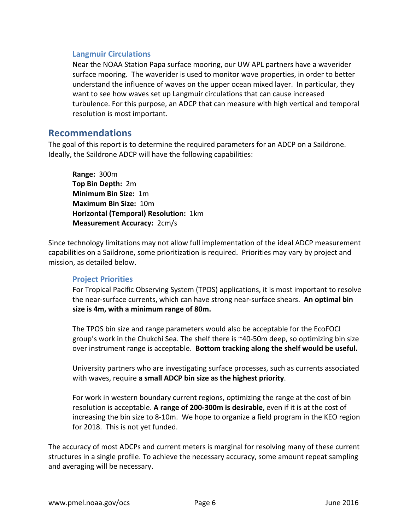### **Langmuir Circulations**

Near the NOAA Station Papa surface mooring, our UW APL partners have a waverider surface mooring. The waverider is used to monitor wave properties, in order to better understand the influence of waves on the upper ocean mixed layer. In particular, they want to see how waves set up Langmuir circulations that can cause increased turbulence. For this purpose, an ADCP that can measure with high vertical and temporal resolution is most important.

### **Recommendations**

The goal of this report is to determine the required parameters for an ADCP on a Saildrone. Ideally, the Saildrone ADCP will have the following capabilities:

**Range:** 300m **Top Bin Depth:** 2m **Minimum Bin Size: 1m Maximum Bin Size: 10m Horizontal (Temporal) Resolution:** 1km **Measurement Accuracy: 2cm/s** 

Since technology limitations may not allow full implementation of the ideal ADCP measurement capabilities on a Saildrone, some prioritization is required. Priorities may vary by project and mission, as detailed below.

### **Project Priorities**

For Tropical Pacific Observing System (TPOS) applications, it is most important to resolve the near-surface currents, which can have strong near-surface shears. An optimal bin **size is 4m, with a minimum range of 80m.** 

The TPOS bin size and range parameters would also be acceptable for the EcoFOCI group's work in the Chukchi Sea. The shelf there is  $\sim$ 40-50m deep, so optimizing bin size over instrument range is acceptable. Bottom tracking along the shelf would be useful.

University partners who are investigating surface processes, such as currents associated with waves, require a small ADCP bin size as the highest priority.

For work in western boundary current regions, optimizing the range at the cost of bin resolution is acceptable. A range of 200-300m is desirable, even if it is at the cost of increasing the bin size to 8-10m. We hope to organize a field program in the KEO region for 2018. This is not yet funded.

The accuracy of most ADCPs and current meters is marginal for resolving many of these current structures in a single profile. To achieve the necessary accuracy, some amount repeat sampling and averaging will be necessary.